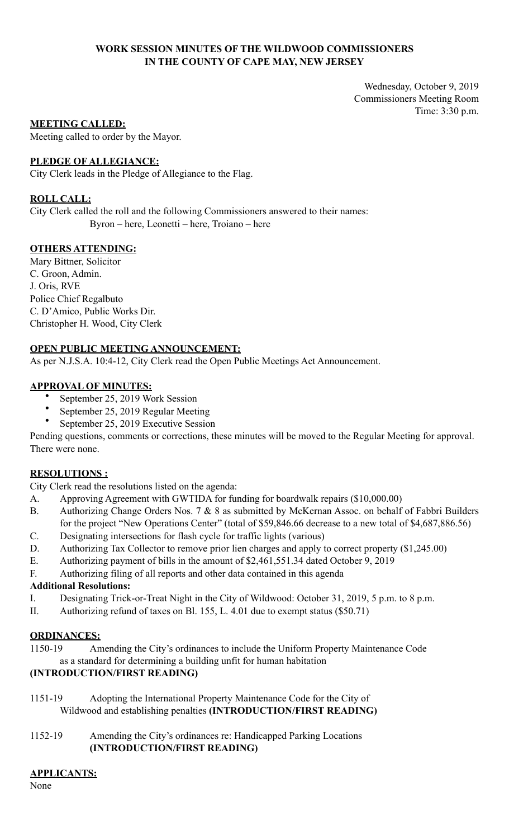# **WORK SESSION MINUTES OF THE WILDWOOD COMMISSIONERS IN THE COUNTY OF CAPE MAY, NEW JERSEY**

Wednesday, October 9, 2019 Commissioners Meeting Room Time: 3:30 p.m.

## **MEETING CALLED:**

Meeting called to order by the Mayor.

## **PLEDGE OF ALLEGIANCE:**

City Clerk leads in the Pledge of Allegiance to the Flag.

## **ROLL CALL:**

City Clerk called the roll and the following Commissioners answered to their names: Byron – here, Leonetti – here, Troiano – here

## **OTHERS ATTENDING:**

Mary Bittner, Solicitor C. Groon, Admin. J. Oris, RVE Police Chief Regalbuto C. D'Amico, Public Works Dir. Christopher H. Wood, City Clerk

## **OPEN PUBLIC MEETING ANNOUNCEMENT:**

As per N.J.S.A. 10:4-12, City Clerk read the Open Public Meetings Act Announcement.

## **APPROVAL OF MINUTES:**

- September 25, 2019 Work Session
- September 25, 2019 Regular Meeting
- September 25, 2019 Executive Session

Pending questions, comments or corrections, these minutes will be moved to the Regular Meeting for approval. There were none.

# **RESOLUTIONS :**

City Clerk read the resolutions listed on the agenda:

- A. Approving Agreement with GWTIDA for funding for boardwalk repairs (\$10,000.00)
- B. Authorizing Change Orders Nos. 7 & 8 as submitted by McKernan Assoc. on behalf of Fabbri Builders for the project "New Operations Center" (total of \$59,846.66 decrease to a new total of \$4,687,886.56)
- C. Designating intersections for flash cycle for traffic lights (various)
- D. Authorizing Tax Collector to remove prior lien charges and apply to correct property (\$1,245.00)
- E. Authorizing payment of bills in the amount of \$2,461,551.34 dated October 9, 2019
- F. Authorizing filing of all reports and other data contained in this agenda

#### **Additional Resolutions:**

- I. Designating Trick-or-Treat Night in the City of Wildwood: October 31, 2019, 5 p.m. to 8 p.m.
- II. Authorizing refund of taxes on Bl. 155, L. 4.01 due to exempt status (\$50.71)

## **ORDINANCES:**

1150-19 Amending the City's ordinances to include the Uniform Property Maintenance Code as a standard for determining a building unfit for human habitation

# **(INTRODUCTION/FIRST READING)**

- 1151-19 Adopting the International Property Maintenance Code for the City of Wildwood and establishing penalties **(INTRODUCTION/FIRST READING)**
- 1152-19 Amending the City's ordinances re: Handicapped Parking Locations **(INTRODUCTION/FIRST READING)**

# **APPLICANTS:**

None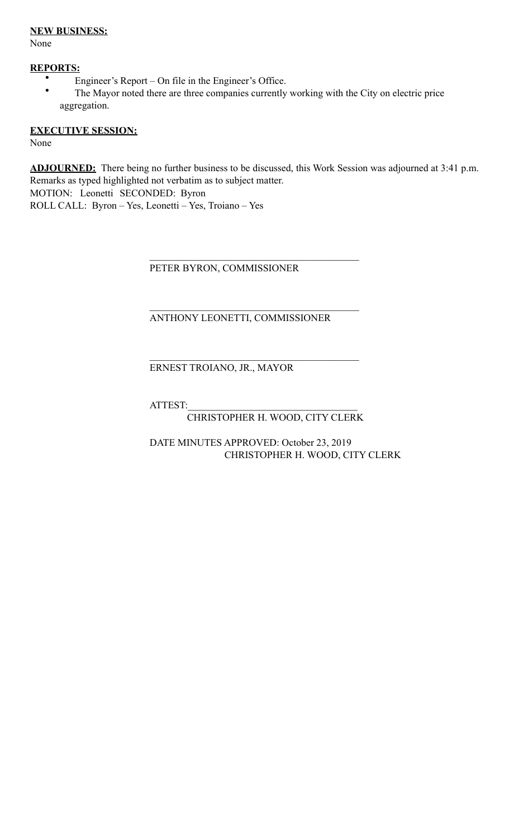## **NEW BUSINESS:**

None

# **REPORTS:**

- Engineer's Report On file in the Engineer's Office.<br>• The Mayor noted there are three companies currently.
- The Mayor noted there are three companies currently working with the City on electric price aggregation.

# **EXECUTIVE SESSION:**

None

**ADJOURNED:** There being no further business to be discussed, this Work Session was adjourned at 3:41 p.m. Remarks as typed highlighted not verbatim as to subject matter. MOTION: Leonetti SECONDED: Byron

ROLL CALL: Byron – Yes, Leonetti – Yes, Troiano – Yes

PETER BYRON, COMMISSIONER

 $\mathcal{L}_\mathcal{L} = \mathcal{L}_\mathcal{L} = \mathcal{L}_\mathcal{L} = \mathcal{L}_\mathcal{L} = \mathcal{L}_\mathcal{L} = \mathcal{L}_\mathcal{L} = \mathcal{L}_\mathcal{L} = \mathcal{L}_\mathcal{L} = \mathcal{L}_\mathcal{L} = \mathcal{L}_\mathcal{L} = \mathcal{L}_\mathcal{L} = \mathcal{L}_\mathcal{L} = \mathcal{L}_\mathcal{L} = \mathcal{L}_\mathcal{L} = \mathcal{L}_\mathcal{L} = \mathcal{L}_\mathcal{L} = \mathcal{L}_\mathcal{L}$ 

 $\mathcal{L}_\mathcal{L} = \mathcal{L}_\mathcal{L} = \mathcal{L}_\mathcal{L} = \mathcal{L}_\mathcal{L} = \mathcal{L}_\mathcal{L} = \mathcal{L}_\mathcal{L} = \mathcal{L}_\mathcal{L} = \mathcal{L}_\mathcal{L} = \mathcal{L}_\mathcal{L} = \mathcal{L}_\mathcal{L} = \mathcal{L}_\mathcal{L} = \mathcal{L}_\mathcal{L} = \mathcal{L}_\mathcal{L} = \mathcal{L}_\mathcal{L} = \mathcal{L}_\mathcal{L} = \mathcal{L}_\mathcal{L} = \mathcal{L}_\mathcal{L}$ 

 $\mathcal{L}_\mathcal{L} = \mathcal{L}_\mathcal{L} = \mathcal{L}_\mathcal{L} = \mathcal{L}_\mathcal{L} = \mathcal{L}_\mathcal{L} = \mathcal{L}_\mathcal{L} = \mathcal{L}_\mathcal{L} = \mathcal{L}_\mathcal{L} = \mathcal{L}_\mathcal{L} = \mathcal{L}_\mathcal{L} = \mathcal{L}_\mathcal{L} = \mathcal{L}_\mathcal{L} = \mathcal{L}_\mathcal{L} = \mathcal{L}_\mathcal{L} = \mathcal{L}_\mathcal{L} = \mathcal{L}_\mathcal{L} = \mathcal{L}_\mathcal{L}$ 

# ANTHONY LEONETTI, COMMISSIONER

# ERNEST TROIANO, JR., MAYOR

ATTEST:\_\_\_\_\_\_\_\_\_\_\_\_\_\_\_\_\_\_\_\_\_\_\_\_\_\_\_\_\_\_\_\_\_\_

# CHRISTOPHER H. WOOD, CITY CLERK

 DATE MINUTES APPROVED: October 23, 2019 CHRISTOPHER H. WOOD, CITY CLERK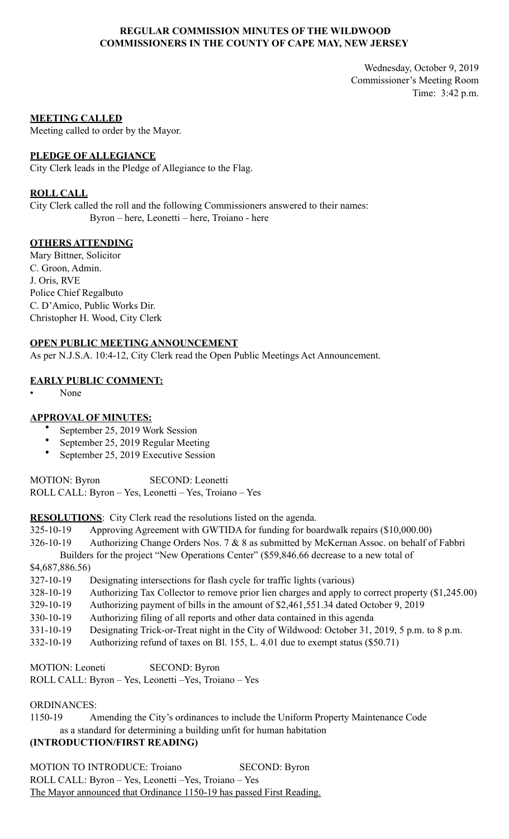## **REGULAR COMMISSION MINUTES OF THE WILDWOOD COMMISSIONERS IN THE COUNTY OF CAPE MAY, NEW JERSEY**

Wednesday, October 9, 2019 Commissioner's Meeting Room Time: 3:42 p.m.

#### **MEETING CALLED**

Meeting called to order by the Mayor.

#### **PLEDGE OF ALLEGIANCE**

City Clerk leads in the Pledge of Allegiance to the Flag.

#### **ROLL CALL**

City Clerk called the roll and the following Commissioners answered to their names: Byron – here, Leonetti – here, Troiano - here

## **OTHERS ATTENDING**

Mary Bittner, Solicitor C. Groon, Admin. J. Oris, RVE Police Chief Regalbuto C. D'Amico, Public Works Dir. Christopher H. Wood, City Clerk

#### **OPEN PUBLIC MEETING ANNOUNCEMENT**

As per N.J.S.A. 10:4-12, City Clerk read the Open Public Meetings Act Announcement.

## **EARLY PUBLIC COMMENT:**

• None

# **APPROVAL OF MINUTES:**

- September 25, 2019 Work Session
- September 25, 2019 Regular Meeting
- September 25, 2019 Executive Session

MOTION: Byron SECOND: Leonetti ROLL CALL: Byron – Yes, Leonetti – Yes, Troiano – Yes

**RESOLUTIONS**: City Clerk read the resolutions listed on the agenda.

325-10-19 Approving Agreement with GWTIDA for funding for boardwalk repairs (\$10,000.00)

326-10-19 Authorizing Change Orders Nos. 7 & 8 as submitted by McKernan Assoc. on behalf of Fabbri Builders for the project "New Operations Center" (\$59,846.66 decrease to a new total of

\$4,687,886.56)

327-10-19 Designating intersections for flash cycle for traffic lights (various)

- 328-10-19 Authorizing Tax Collector to remove prior lien charges and apply to correct property (\$1,245.00)
- 329-10-19 Authorizing payment of bills in the amount of \$2,461,551.34 dated October 9, 2019
- 330-10-19 Authorizing filing of all reports and other data contained in this agenda
- 331-10-19 Designating Trick-or-Treat night in the City of Wildwood: October 31, 2019, 5 p.m. to 8 p.m.
- 332-10-19 Authorizing refund of taxes on Bl. 155, L. 4.01 due to exempt status (\$50.71)

MOTION: Leoneti SECOND: Byron ROLL CALL: Byron – Yes, Leonetti –Yes, Troiano – Yes

# ORDINANCES:

1150-19 Amending the City's ordinances to include the Uniform Property Maintenance Code as a standard for determining a building unfit for human habitation

# **(INTRODUCTION/FIRST READING)**

MOTION TO INTRODUCE: Troiano SECOND: Byron ROLL CALL: Byron – Yes, Leonetti –Yes, Troiano – Yes The Mayor announced that Ordinance 1150-19 has passed First Reading.